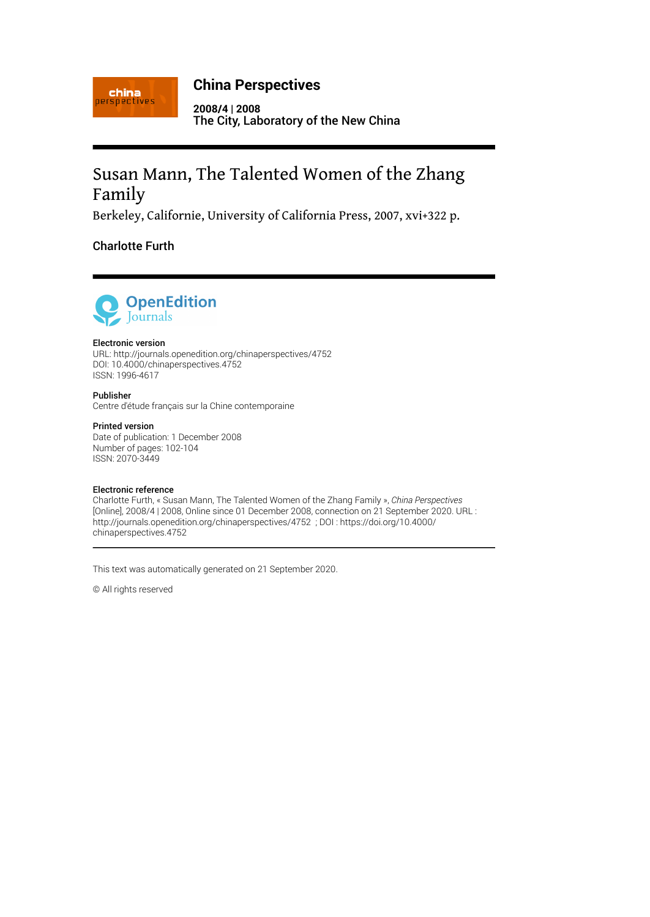

## **China Perspectives**

**2008/4 | 2008** The City, Laboratory of the New China

# Susan Mann, The Talented Women of the Zhang Family

Berkeley, Californie, University of California Press, 2007, xvi+322 p.

### Charlotte Furth



#### Electronic version

URL:<http://journals.openedition.org/chinaperspectives/4752> DOI: 10.4000/chinaperspectives.4752 ISSN: 1996-4617

#### Publisher

Centre d'étude français sur la Chine contemporaine

#### Printed version

Date of publication: 1 December 2008 Number of pages: 102-104 ISSN: 2070-3449

#### Electronic reference

Charlotte Furth, « Susan Mann, The Talented Women of the Zhang Family », *China Perspectives* [Online], 2008/4 | 2008, Online since 01 December 2008, connection on 21 September 2020. URL : http://journals.openedition.org/chinaperspectives/4752 ; DOI : https://doi.org/10.4000/ chinaperspectives.4752

This text was automatically generated on 21 September 2020.

© All rights reserved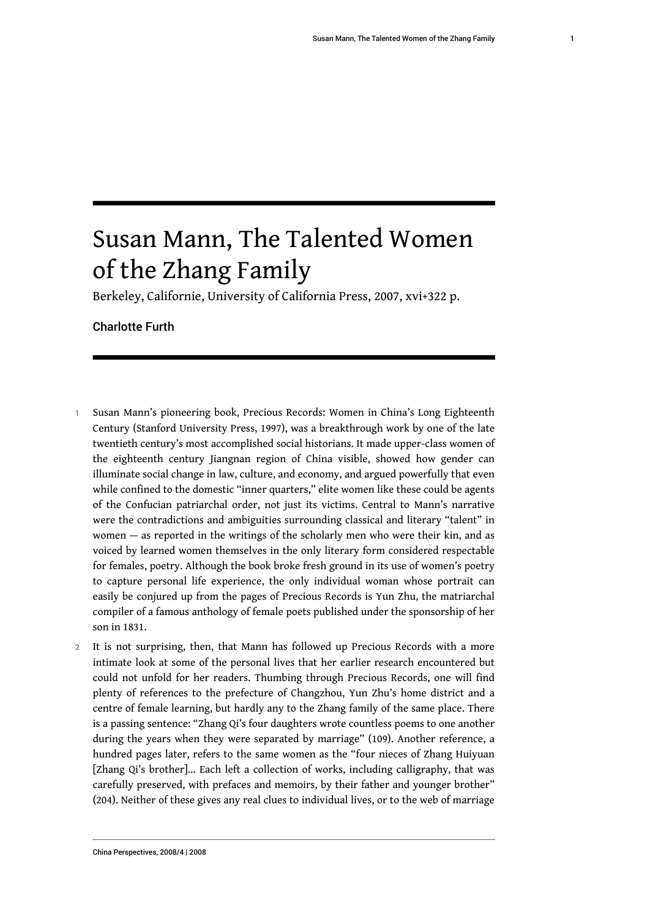# Susan Mann, The Talented Women of the Zhang Family

Berkeley, Californie, University of California Press, 2007, xvi+322 p.

Charlotte Furth

- 1 Susan Mann's pioneering book, Precious Records: Women in China's Long Eighteenth Century (Stanford University Press, 1997), was a breakthrough work by one of the late twentieth century's most accomplished social historians. It made upper-class women of the eighteenth century Jiangnan region of China visible, showed how gender can illuminate social change in law, culture, and economy, and argued powerfully that even while confined to the domestic "inner quarters," elite women like these could be agents of the Confucian patriarchal order, not just its victims. Central to Mann's narrative were the contradictions and ambiguities surrounding classical and literary "talent" in women — as reported in the writings of the scholarly men who were their kin, and as voiced by learned women themselves in the only literary form considered respectable for females, poetry. Although the book broke fresh ground in its use of women's poetry to capture personal life experience, the only individual woman whose portrait can easily be conjured up from the pages of Precious Records is Yun Zhu, the matriarchal compiler of a famous anthology of female poets published under the sponsorship of her son in 1831.
- 2 It is not surprising, then, that Mann has followed up Precious Records with a more intimate look at some of the personal lives that her earlier research encountered but could not unfold for her readers. Thumbing through Precious Records, one will find plenty of references to the prefecture of Changzhou, Yun Zhu's home district and a centre of female learning, but hardly any to the Zhang family of the same place. There is a passing sentence: "Zhang Qi's four daughters wrote countless poems to one another during the years when they were separated by marriage" (109). Another reference, a hundred pages later, refers to the same women as the "four nieces of Zhang Huiyuan [Zhang Qi's brother]… Each left a collection of works, including calligraphy, that was carefully preserved, with prefaces and memoirs, by their father and younger brother" (204). Neither of these gives any real clues to individual lives, or to the web of marriage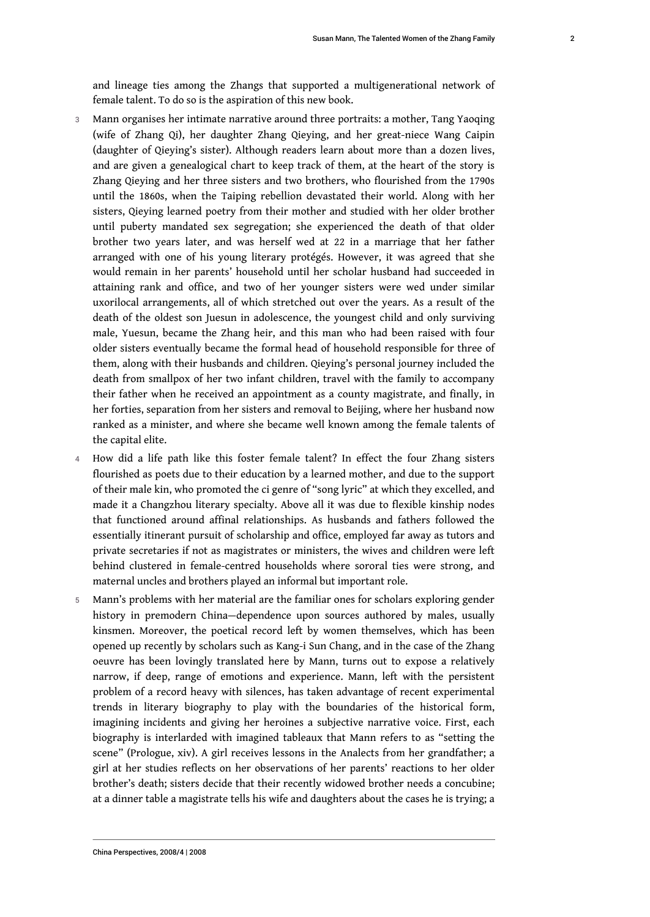and lineage ties among the Zhangs that supported a multigenerational network of female talent. To do so is the aspiration of this new book.

- 3 Mann organises her intimate narrative around three portraits: a mother, Tang Yaoqing (wife of Zhang Qi), her daughter Zhang Qieying, and her great-niece Wang Caipin (daughter of Qieying's sister). Although readers learn about more than a dozen lives, and are given a genealogical chart to keep track of them, at the heart of the story is Zhang Qieying and her three sisters and two brothers, who flourished from the 1790s until the 1860s, when the Taiping rebellion devastated their world. Along with her sisters, Qieying learned poetry from their mother and studied with her older brother until puberty mandated sex segregation; she experienced the death of that older brother two years later, and was herself wed at 22 in a marriage that her father arranged with one of his young literary protégés. However, it was agreed that she would remain in her parents' household until her scholar husband had succeeded in attaining rank and office, and two of her younger sisters were wed under similar uxorilocal arrangements, all of which stretched out over the years. As a result of the death of the oldest son Juesun in adolescence, the youngest child and only surviving male, Yuesun, became the Zhang heir, and this man who had been raised with four older sisters eventually became the formal head of household responsible for three of them, along with their husbands and children. Qieying's personal journey included the death from smallpox of her two infant children, travel with the family to accompany their father when he received an appointment as a county magistrate, and finally, in her forties, separation from her sisters and removal to Beijing, where her husband now ranked as a minister, and where she became well known among the female talents of the capital elite.
- 4 How did a life path like this foster female talent? In effect the four Zhang sisters flourished as poets due to their education by a learned mother, and due to the support of their male kin, who promoted the ci genre of "song lyric" at which they excelled, and made it a Changzhou literary specialty. Above all it was due to flexible kinship nodes that functioned around affinal relationships. As husbands and fathers followed the essentially itinerant pursuit of scholarship and office, employed far away as tutors and private secretaries if not as magistrates or ministers, the wives and children were left behind clustered in female-centred households where sororal ties were strong, and maternal uncles and brothers played an informal but important role.
- 5 Mann's problems with her material are the familiar ones for scholars exploring gender history in premodern China—dependence upon sources authored by males, usually kinsmen. Moreover, the poetical record left by women themselves, which has been opened up recently by scholars such as Kang-i Sun Chang, and in the case of the Zhang oeuvre has been lovingly translated here by Mann, turns out to expose a relatively narrow, if deep, range of emotions and experience. Mann, left with the persistent problem of a record heavy with silences, has taken advantage of recent experimental trends in literary biography to play with the boundaries of the historical form, imagining incidents and giving her heroines a subjective narrative voice. First, each biography is interlarded with imagined tableaux that Mann refers to as "setting the scene" (Prologue, xiv). A girl receives lessons in the Analects from her grandfather; a girl at her studies reflects on her observations of her parents' reactions to her older brother's death; sisters decide that their recently widowed brother needs a concubine; at a dinner table a magistrate tells his wife and daughters about the cases he is trying; a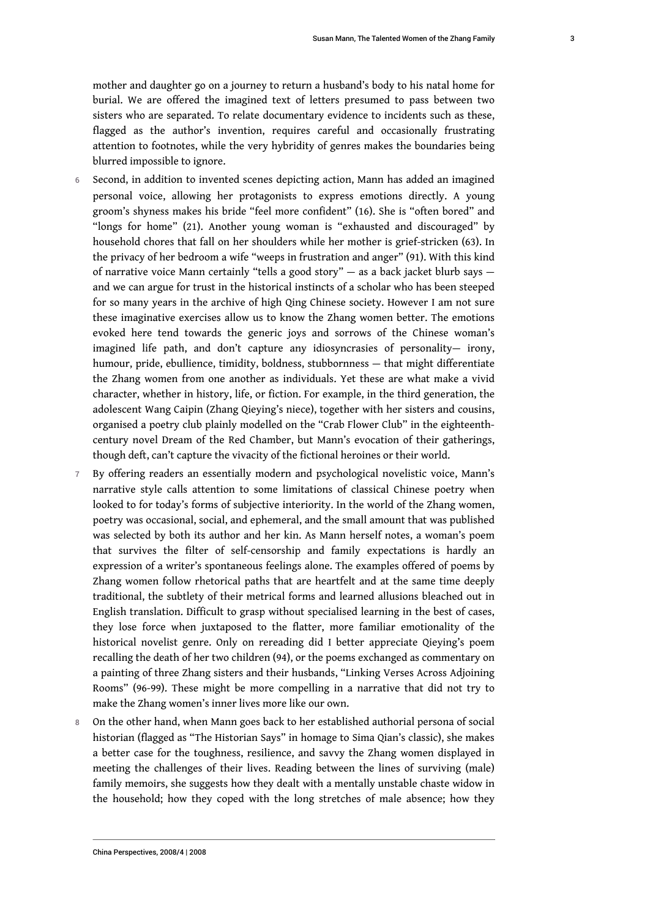mother and daughter go on a journey to return a husband's body to his natal home for burial. We are offered the imagined text of letters presumed to pass between two sisters who are separated. To relate documentary evidence to incidents such as these, flagged as the author's invention, requires careful and occasionally frustrating attention to footnotes, while the very hybridity of genres makes the boundaries being blurred impossible to ignore.

- 6 Second, in addition to invented scenes depicting action, Mann has added an imagined personal voice, allowing her protagonists to express emotions directly. A young groom's shyness makes his bride "feel more confident" (16). She is "often bored" and "longs for home" (21). Another young woman is "exhausted and discouraged" by household chores that fall on her shoulders while her mother is grief-stricken (63). In the privacy of her bedroom a wife "weeps in frustration and anger" (91). With this kind of narrative voice Mann certainly "tells a good story" — as a back jacket blurb says and we can argue for trust in the historical instincts of a scholar who has been steeped for so many years in the archive of high Qing Chinese society. However I am not sure these imaginative exercises allow us to know the Zhang women better. The emotions evoked here tend towards the generic joys and sorrows of the Chinese woman's imagined life path, and don't capture any idiosyncrasies of personality— irony, humour, pride, ebullience, timidity, boldness, stubbornness — that might differentiate the Zhang women from one another as individuals. Yet these are what make a vivid character, whether in history, life, or fiction. For example, in the third generation, the adolescent Wang Caipin (Zhang Qieying's niece), together with her sisters and cousins, organised a poetry club plainly modelled on the "Crab Flower Club" in the eighteenthcentury novel Dream of the Red Chamber, but Mann's evocation of their gatherings, though deft, can't capture the vivacity of the fictional heroines or their world.
- 7 By offering readers an essentially modern and psychological novelistic voice, Mann's narrative style calls attention to some limitations of classical Chinese poetry when looked to for today's forms of subjective interiority. In the world of the Zhang women, poetry was occasional, social, and ephemeral, and the small amount that was published was selected by both its author and her kin. As Mann herself notes, a woman's poem that survives the filter of self-censorship and family expectations is hardly an expression of a writer's spontaneous feelings alone. The examples offered of poems by Zhang women follow rhetorical paths that are heartfelt and at the same time deeply traditional, the subtlety of their metrical forms and learned allusions bleached out in English translation. Difficult to grasp without specialised learning in the best of cases, they lose force when juxtaposed to the flatter, more familiar emotionality of the historical novelist genre. Only on rereading did I better appreciate Qieying's poem recalling the death of her two children (94), or the poems exchanged as commentary on a painting of three Zhang sisters and their husbands, "Linking Verses Across Adjoining Rooms" (96-99). These might be more compelling in a narrative that did not try to make the Zhang women's inner lives more like our own.
- 8 On the other hand, when Mann goes back to her established authorial persona of social historian (flagged as "The Historian Says" in homage to Sima Qian's classic), she makes a better case for the toughness, resilience, and savvy the Zhang women displayed in meeting the challenges of their lives. Reading between the lines of surviving (male) family memoirs, she suggests how they dealt with a mentally unstable chaste widow in the household; how they coped with the long stretches of male absence; how they